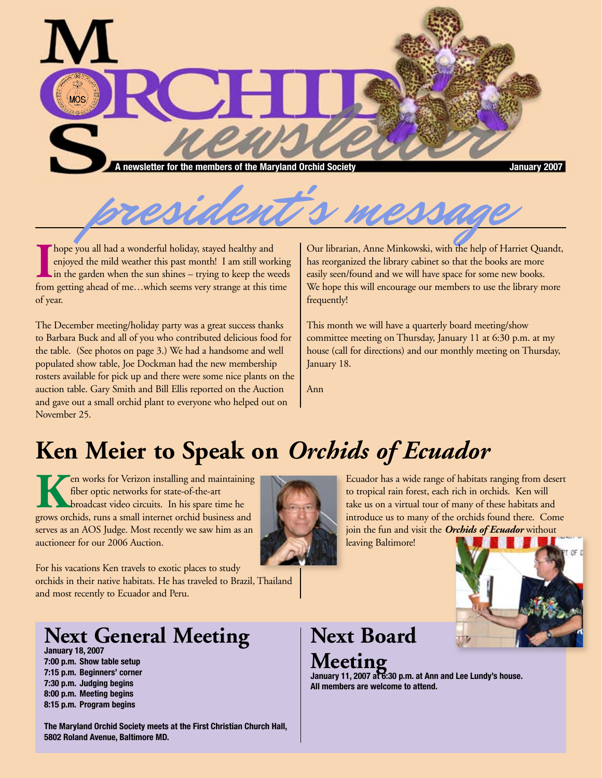



**I** hope you all had a wonderful holiday, stayed healthy and enjoyed the mild weather this past month! I am still working in the garden when the sun shines – trying to keep the weeds from getting ahead of me...which seems hope you all had a wonderful holiday, stayed healthy and enjoyed the mild weather this past month! I am still working  $\mathsf{I}$  in the garden when the sun shines – trying to keep the weeds of year.

The December meeting/holiday party was a great success thanks to Barbara Buck and all of you who contributed delicious food for the table. (See photos on page 3.) We had a handsome and well populated show table, Joe Dockman had the new membership rosters available for pick up and there were some nice plants on the auction table. Gary Smith and Bill Ellis reported on the Auction and gave out a small orchid plant to everyone who helped out on November 25.

Our librarian, Anne Minkowski, with the help of Harriet Quandt, has reorganized the library cabinet so that the books are more easily seen/found and we will have space for some new books. We hope this will encourage our members to use the library more frequently!

This month we will have a quarterly board meeting/show committee meeting on Thursday, January 11 at 6:30 p.m. at my house (call for directions) and our monthly meeting on Thursday, January 18.

Ann

## **Ken Meier to Speak on** *Orchids of Ecuador*

**K**en works for Verizon installing and maintaining fiber optic networks for state-of-the-art broadcast video circuits. In his spare time he grows orchids, runs a small internet orchid business and serves as an AOS Judge. Most recently we saw him as an auctioneer for our 2006 Auction.



For his vacations Ken travels to exotic places to study orchids in their native habitats. He has traveled to Brazil, Thailand and most recently to Ecuador and Peru.

## **Next General Meeting**

**January 18, 2007 7:00 p.m. Show table setup 7:15 p.m. Beginners' corner 7:30 p.m. Judging begins 8:00 p.m. Meeting begins 8:15 p.m. Program begins**

**The Maryland Orchid Society meets at the First Christian Church Hall, 5802 Roland Avenue, Baltimore MD.**

Ecuador has a wide range of habitats ranging from desert to tropical rain forest, each rich in orchids. Ken will take us on a virtual tour of many of these habitats and introduce us to many of the orchids found there. Come join the fun and visit the *Orchids of Ecuador* without leaving Baltimore!



### **Next Board Meeting**

**January 11, 2007 at 6:30 p.m. at Ann and Lee Lundy's house. All members are welcome to attend.**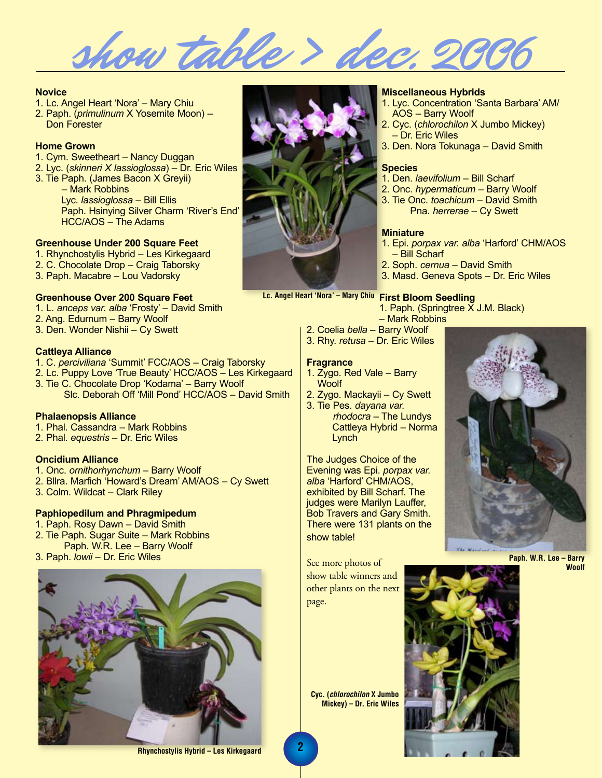show table > dec

#### **Novice**

- 1. Lc. Angel Heart 'Nora' Mary Chiu
- 2. Paph. (*primulinum* X Yosemite Moon) Don Forester

#### **Home Grown**

- 1. Cym. Sweetheart Nancy Duggan
- 2. Lyc. (*skinneri X lassioglossa*) Dr. Eric Wiles
- 3. Tie Paph. (James Bacon X Greyii) – Mark Robbins Lyc. *lassioglossa* – Bill Ellis Paph. Hsinying Silver Charm 'River's End' HCC/AOS – The Adams

#### **Greenhouse Under 200 Square Feet**

- 1. Rhynchostylis Hybrid Les Kirkegaard
- 2. C. Chocolate Drop Craig Taborsky
- 3. Paph. Macabre Lou Vadorsky

#### **Greenhouse Over 200 Square Feet**

1. L. *anceps var. alba* 'Frosty' – David Smith 2. Ang. Edurnum – Barry Woolf 3. Den. Wonder Nishii – Cy Swett

#### **Cattleya Alliance**

- 1. C. *perciviliana* 'Summit' FCC/AOS Craig Taborsky
- 2. Lc. Puppy Love 'True Beauty' HCC/AOS Les Kirkegaard
- 3. Tie C. Chocolate Drop 'Kodama' Barry Woolf Slc. Deborah Off 'Mill Pond' HCC/AOS – David Smith

#### **Phalaenopsis Alliance**

- 1. Phal. Cassandra Mark Robbins
- 2. Phal. *equestris* Dr. Eric Wiles

#### **Oncidium Alliance**

- 1. Onc. *ornithorhynchum* Barry Woolf
- 2. Bllra. Marfich 'Howard's Dream' AM/AOS Cy Swett
- 3. Colm. Wildcat Clark Riley

#### **Paphiopedilum and Phragmipedum**

- 1. Paph. Rosy Dawn David Smith
- 2. Tie Paph. Sugar Suite Mark Robbins Paph. W.R. Lee – Barry Woolf
- 3. Paph. *lowii* Dr. Eric Wiles





#### **Miscellaneous Hybrids**

- 1. Lyc. Concentration 'Santa Barbara' AM/ AOS – Barry Woolf
- 2. Cyc. (*chlorochilon* X Jumbo Mickey) – Dr. Eric Wiles
- 3. Den. Nora Tokunaga David Smith

#### **Species**

- 1. Den. *laevifolium* Bill Scharf
- 2. Onc. *hypermaticum* Barry Woolf
- 3. Tie Onc. *toachicum* David Smith Pna. *herrerae* – Cy Swett

#### **Miniature**

- 1. Epi. *porpax var. alba* 'Harford' CHM/AOS – Bill Scharf
- 2. Soph. *cernua* David Smith
- 3. Masd. Geneva Spots Dr. Eric Wiles

#### Lc. Angel Heart 'Nora' - Mary Chiu First Bloom Seedling

- 1. Paph. (Springtree X J.M. Black)
- Mark Robbins
- 2. Coelia *bella* Barry Woolf 3. Rhy. *retusa* – Dr. Eric Wiles

#### **Fragrance**

- 1. Zygo. Red Vale Barry **Woolf**
- 2. Zygo. Mackayii Cy Swett
- 3. Tie Pes. *dayana var. rhodocra* – The Lundys Cattleya Hybrid – Norma **Lynch**

The Judges Choice of the Evening was Epi. *porpax var. alba* 'Harford' CHM/AOS, exhibited by Bill Scharf. The judges were Marilyn Lauffer, Bob Travers and Gary Smith. There were 131 plants on the show table!

See more photos of show table winners and other plants on the next page.

**Cyc. (***chlorochilon* **X Jumbo Mickey) – Dr. Eric Wiles**



**Paph. W.R. Lee – Barry Woolf**

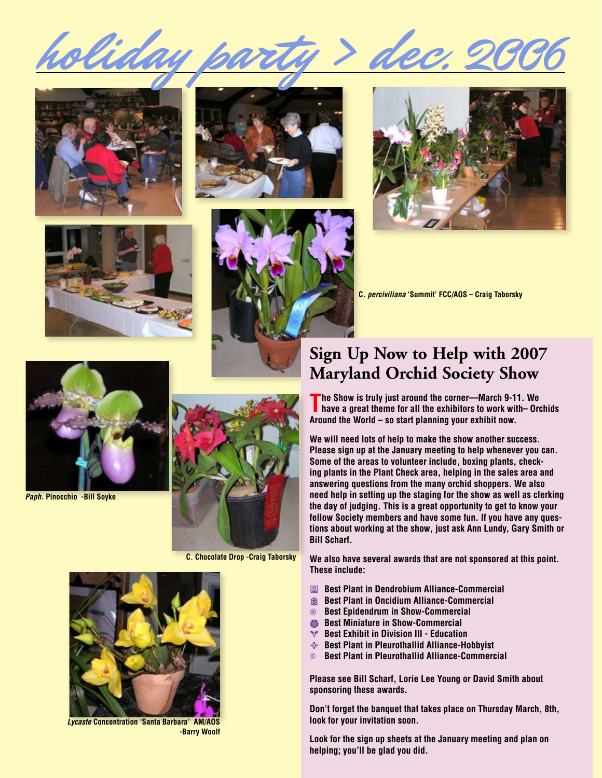











**C.** *perciviliana* **'Summit' FCC/AOS – Craig Taborsky**



*Paph.* **Pinocchio -Bill Soyke**



**C. Chocolate Drop -Craig Taborsky**

## **Sign Up Now to Help with 2007**

**Maryland Orchid Society Show**

**The Show is truly just around the corner—March 9-11. We have a great theme for all the exhibitors to work with– Orchids Around the World – so start planning your exhibit now.**

**We will need lots of help to make the show another success. Please sign up at the January meeting to help whenever you can. Some of the areas to volunteer include, boxing plants, checking plants in the Plant Check area, helping in the sales area and answering questions from the many orchid shoppers. We also need help in setting up the staging for the show as well as clerking the day of judging. This is a great opportunity to get to know your fellow Society members and have some fun. If you have any questions about working at the show, just ask Ann Lundy, Gary Smith or Bill Scharf.** 

**We also have several awards that are not sponsored at this point. These include:** 

- **Best Plant in Dendrobium Alliance-Commercial**
- **88 Best Plant in Oncidium Alliance-Commercial**
- o **Best Epidendrum in Show-Commercial**
- **Best Miniature in Show-Commercial**
- **Best Exhibit in Division III Education**
- r **Best Plant in Pleurothallid Alliance-Hobbyist**
- **Sest Plant in Pleurothallid Alliance-Commercial**

**Please see Bill Scharf, Lorie Lee Young or David Smith about sponsoring these awards.**

**Don't forget the banquet that takes place on Thursday March, 8th, look for your invitation soon.**

**Look for the sign up sheets at the January meeting and plan on helping; you'll be glad you did.**



*Lycaste* **Concentration 'Santa Barbara' AM/AOS -Barry Woolf**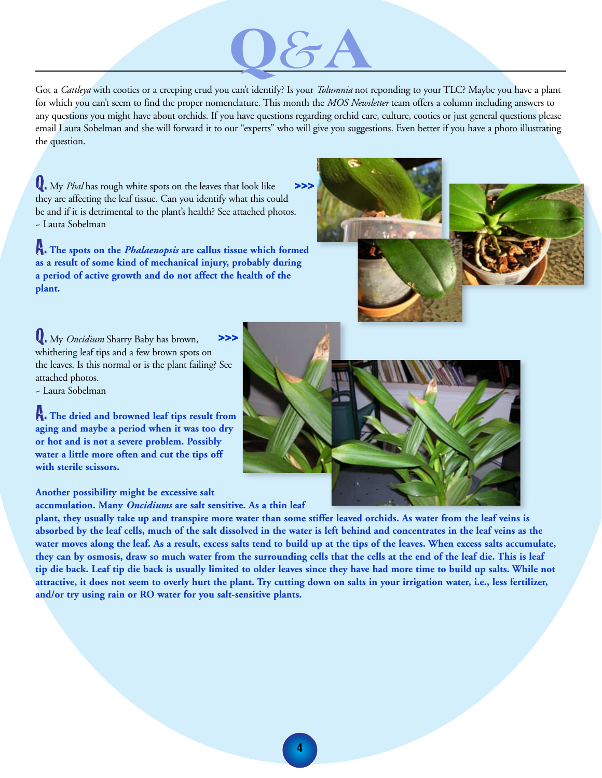# **Q***&***A**

Got a *Cattleya* with cooties or a creeping crud you can't identify? Is your *Tolumnia* not reponding to your TLC? Maybe you have a plant for which you can't seem to find the proper nomenclature. This month the *MOS Newsletter* team offers a column including answers to any questions you might have about orchids. If you have questions regarding orchid care, culture, cooties or just general questions please email Laura Sobelman and she will forward it to our "experts" who will give you suggestions. Even better if you have a photo illustrating the question.

Q. My *Phal* has rough white spots on the leaves that look like  $>>$ they are affecting the leaf tissue. Can you identify what this could be and if it is detrimental to the plant's health? See attached photos. ~ Laura Sobelman

A. **The spots on the** *Phalaenopsis* **are callus tissue which formed as a result of some kind of mechanical injury, probably during a period of active growth and do not affect the health of the plant.**



Q. My *Oncidium* Sharry Baby has brown, whithering leaf tips and a few brown spots on the leaves. Is this normal or is the plant failing? See attached photos. **>>>**

~ Laura Sobelman

A. **The dried and browned leaf tips result from aging and maybe a period when it was too dry or hot and is not a severe problem. Possibly water a little more often and cut the tips off with sterile scissors.** 

**Another possibility might be excessive salt** 

**accumulation. Many** *Oncidiums* **are salt sensitive. As a thin leaf** 

**plant, they usually take up and transpire more water than some stiffer leaved orchids. As water from the leaf veins is absorbed by the leaf cells, much of the salt dissolved in the water is left behind and concentrates in the leaf veins as the water moves along the leaf. As a result, excess salts tend to build up at the tips of the leaves. When excess salts accumulate, they can by osmosis, draw so much water from the surrounding cells that the cells at the end of the leaf die. This is leaf tip die back. Leaf tip die back is usually limited to older leaves since they have had more time to build up salts. While not attractive, it does not seem to overly hurt the plant. Try cutting down on salts in your irrigation water, i.e., less fertilizer, and/or try using rain or RO water for you salt-sensitive plants.**

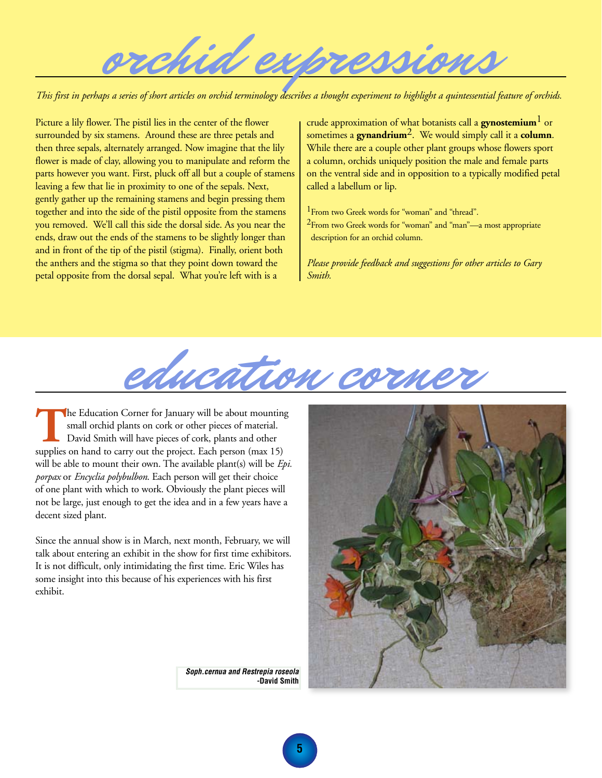orchid expressions

*This first in perhaps a series of short articles on orchid terminology describes a thought experiment to highlight a quintessential feature of orchids.*

Picture a lily flower. The pistil lies in the center of the flower surrounded by six stamens. Around these are three petals and then three sepals, alternately arranged. Now imagine that the lily flower is made of clay, allowing you to manipulate and reform the parts however you want. First, pluck off all but a couple of stamens leaving a few that lie in proximity to one of the sepals. Next, gently gather up the remaining stamens and begin pressing them together and into the side of the pistil opposite from the stamens you removed. We'll call this side the dorsal side. As you near the ends, draw out the ends of the stamens to be slightly longer than and in front of the tip of the pistil (stigma). Finally, orient both the anthers and the stigma so that they point down toward the petal opposite from the dorsal sepal. What you're left with is a

crude approximation of what botanists call a **gynostemium**1 or sometimes a **gynandrium**2. We would simply call it a **column**. While there are a couple other plant groups whose flowers sport a column, orchids uniquely position the male and female parts on the ventral side and in opposition to a typically modified petal called a labellum or lip.

<sup>1</sup> From two Greek words for "woman" and "thread". 2From two Greek words for "woman" and "man"—a most appropriate description for an orchid column.

*Please provide feedback and suggestions for other articles to Gary Smith.*



**T**he Education Corner for January will be about mounting small orchid plants on cork or other pieces of material. David Smith will have pieces of cork, plants and other supplies on hand to carry out the project. Each person (max 15) will be able to mount their own. The available plant(s) will be *Epi. porpax* or *Encyclia polybulbon*. Each person will get their choice of one plant with which to work. Obviously the plant pieces will not be large, just enough to get the idea and in a few years have a decent sized plant.

Since the annual show is in March, next month, February, we will talk about entering an exhibit in the show for first time exhibitors. It is not difficult, only intimidating the first time. Eric Wiles has some insight into this because of his experiences with his first exhibit.

*Soph.cernua and Restrepia roseola* **-David Smith**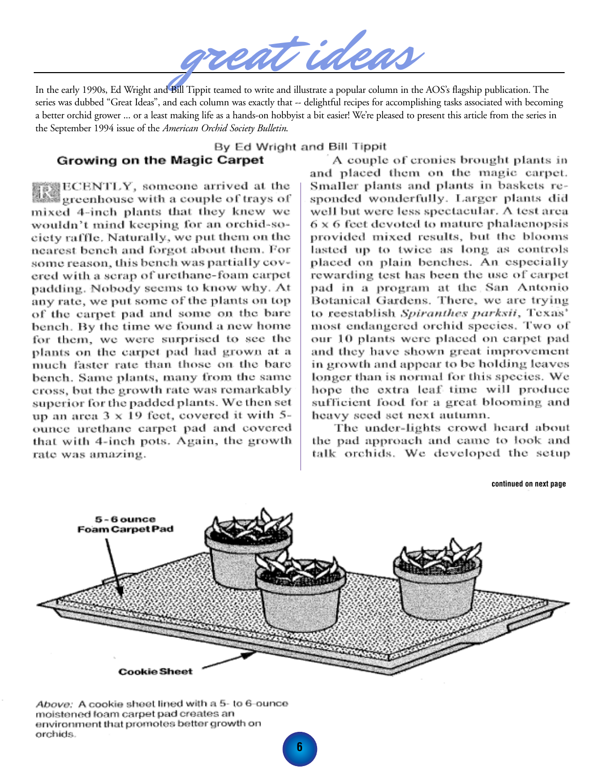In the early 1990s, Ed Wright and Bill Tippit teamed to write and illustrate a popular column in the AOS's flagship publication. The series was dubbed "Great Ideas", and each column was exactly that -- delightful recipes for accomplishing tasks associated with becoming a better orchid grower ... or a least making life as a hands-on hobbyist a bit easier! We're pleased to present this article from the series in the September 1994 issue of the *American Orchid Society Bulletin*.

#### By Ed Wright and Bill Tippit

#### Growing on the Magic Carpet

竇豐ECENTLY, someone arrived at the greenhouse with a couple of trays of mixed 4-inch plants that they knew we wouldn't mind keeping for an orchid-society raffle. Naturally, we put them on the nearest bench and forgot about them. For some reason, this bench was partially covered with a scrap of urethane-foam carpet padding. Nobody seems to know why. At any rate, we put some of the plants on top of the carpet pad and some on the bare bench. By the time we found a new home for them, we were surprised to see the plants on the carpet pad had grown at a much faster rate than those on the bare bench. Same plants, many from the same cross, but the growth rate was remarkably superior for the padded plants. We then set up an area  $3 \times 19$  feet, covered it with 5ounce urethane carpet pad and covered that with 4-inch pots. Again, the growth rate was amazing.

A couple of cronies brought plants in and placed them on the magic carpet. Smaller plants and plants in baskets responded wonderfully. Larger plants did well but were less spectacular. A test area 6 x 6 feet devoted to mature phalaenopsis provided mixed results, but the blooms lasted up to twice as long as controls placed on plain benches. An especially rewarding test has been the use of carpet pad in a program at the San Antonio Botanical Gardens. There, we are trying to reestablish Spiranthes parksii, Texas' most endangered orchid species. Two of our 10 plants were placed on carpet pad and they have shown great improvement in growth and appear to be holding leaves longer than is normal for this species. We hope the extra leaf time will produce sufficient food for a great blooming and heavy seed set next autumn.

The under-lights crowd heard about the pad approach and came to look and talk orchids. We developed the setup

**continued on next page**



Above: A cookie sheet lined with a 5- to 6-ounce moistened foam carpet pad creates an environment that promotes better growth on orchids.